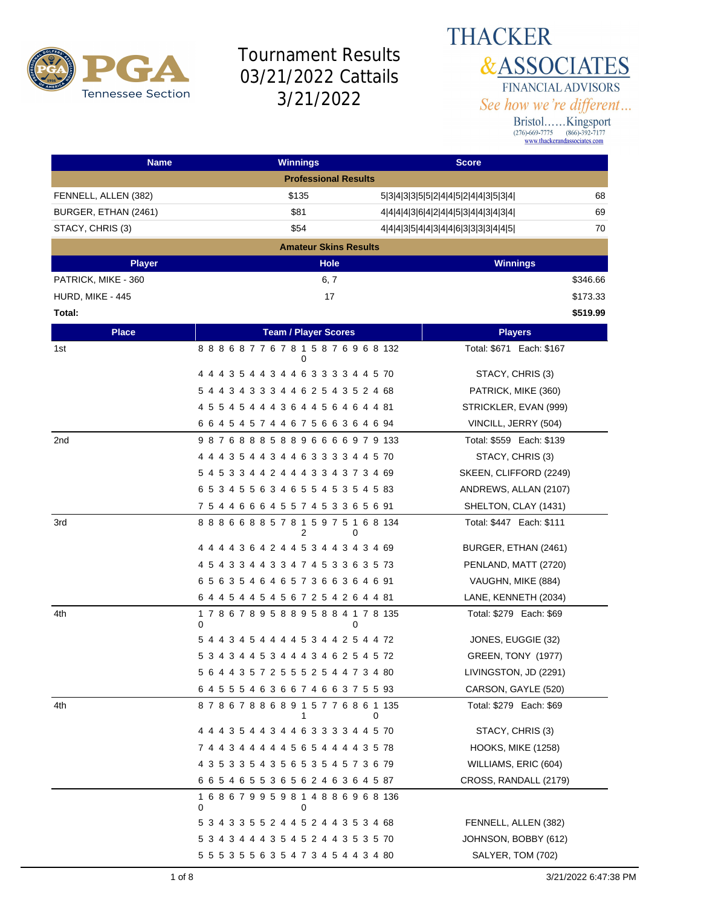

**THACKER &ASSOCIATES** FINANCIAL ADVISORS See how we're different...

| <b>Name</b>          | <b>Winnings</b>                                   | <b>Score</b>                              |
|----------------------|---------------------------------------------------|-------------------------------------------|
|                      | <b>Professional Results</b>                       |                                           |
| FENNELL, ALLEN (382) | \$135                                             | 68<br>5 3 4 3 3 5 5 2 4 4 5 2 4 4 3 5 3 4 |
| BURGER, ETHAN (2461) | \$81                                              | 69<br>4 4 4 4 3 6 4 2 4 4 5 3 4 4 3 4 3 4 |
| STACY, CHRIS (3)     | \$54                                              | 70<br>4 4 4 3 5 4 4 3 4 4 6 3 3 3 3 4 4 5 |
|                      | <b>Amateur Skins Results</b>                      |                                           |
| <b>Player</b>        | <b>Hole</b>                                       | <b>Winnings</b>                           |
| PATRICK, MIKE - 360  | 6, 7                                              | \$346.66                                  |
| HURD, MIKE - 445     | 17                                                | \$173.33                                  |
| Total:               |                                                   | \$519.99                                  |
| <b>Place</b>         | <b>Team / Player Scores</b>                       | <b>Players</b>                            |
| 1st                  | 888687767815876968132<br>0                        | Total: \$671 Each: \$167                  |
|                      | 4 4 4 3 5 4 4 3 4 4 6 3 3 3 3 4 4 5 70            | STACY, CHRIS (3)                          |
|                      | 5 4 4 3 4 3 3 3 4 4 6 2 5 4 3 5 2 4 68            | PATRICK, MIKE (360)                       |
|                      | 4 5 5 4 5 4 4 4 3 6 4 4 5 6 4 6 4 4 81            | STRICKLER, EVAN (999)                     |
|                      | 6 6 4 5 4 5 7 4 4 6 7 5 6 6 3 6 4 6 94            | VINCILL, JERRY (504)                      |
| 2 <sub>nd</sub>      | 987688858896666979133                             | Total: \$559 Each: \$139                  |
|                      | 4 4 4 3 5 4 4 3 4 4 6 3 3 3 3 4 4 5 70            | STACY, CHRIS (3)                          |
|                      | 5 4 5 3 3 4 4 2 4 4 4 3 3 4 3 7 3 4 69            | SKEEN, CLIFFORD (2249)                    |
|                      | 6 5 3 4 5 5 6 3 4 6 5 5 4 5 3 5 4 5 83            | ANDREWS, ALLAN (2107)                     |
|                      | 7 5 4 4 6 6 6 4 5 5 7 4 5 3 3 6 5 6 91            | SHELTON, CLAY (1431)                      |
| 3rd                  | 888668857815975168134<br>2<br>0                   | Total: \$447 Each: \$111                  |
|                      | 4 4 4 4 3 6 4 2 4 4 5 3 4 4 3 4 3 4 69            | BURGER, ETHAN (2461)                      |
|                      | 4 5 4 3 3 4 4 3 3 4 7 4 5 3 3 6 3 5 73            | PENLAND, MATT (2720)                      |
|                      | 65635464657366364691                              | VAUGHN, MIKE (884)                        |
|                      | 6 4 4 5 4 4 5 4 5 6 7 2 5 4 2 6 4 4 81            | LANE, KENNETH (2034)                      |
| 4th                  | 1 7 8 6 7 8 9 5 8 8 9 5 8 8 4 1 7 8 135<br>0<br>0 | Total: \$279 Each: \$69                   |
|                      | 5 4 4 3 4 5 4 4 4 4 5 3 4 4 2 5 4 4 72            | JONES, EUGGIE (32)                        |
|                      | 5 3 4 3 4 4 5 3 4 4 4 3 4 6 2 5 4 5 72            | GREEN, TONY (1977)                        |
|                      | 5 6 4 4 3 5 7 2 5 5 5 2 5 4 4 7 3 4 80            | LIVINGSTON, JD (2291)                     |
|                      | 6 4 5 5 5 4 6 3 6 6 7 4 6 6 3 7 5 5 93            | CARSON, GAYLE (520)                       |
| 4th                  | 878678868915776861135<br>1                        | Total: \$279 Each: \$69<br>0              |
|                      | 4 4 4 3 5 4 4 3 4 4 6 3 3 3 3 4 4 5 70            | STACY, CHRIS (3)                          |
|                      | 7 4 4 3 4 4 4 4 4 5 6 5 4 4 4 4 3 5 78            | <b>HOOKS, MIKE (1258)</b>                 |
|                      | 4 3 5 3 3 5 4 3 5 6 5 3 5 4 5 7 3 6 79            | WILLIAMS, ERIC (604)                      |
|                      | 6 6 5 4 6 5 5 3 6 5 6 2 4 6 3 6 4 5 87            | CROSS, RANDALL (2179)                     |
|                      | 168679959814886968136<br>0<br>0                   |                                           |
|                      | 5 3 4 3 3 5 5 2 4 4 5 2 4 4 3 5 3 4 68            | FENNELL, ALLEN (382)                      |
|                      | 5 3 4 3 4 4 4 3 5 4 5 2 4 4 3 5 3 5 70            | JOHNSON, BOBBY (612)                      |
|                      | 5 5 5 3 5 5 6 3 5 4 7 3 4 5 4 4 3 4 80            | SALYER, TOM (702)                         |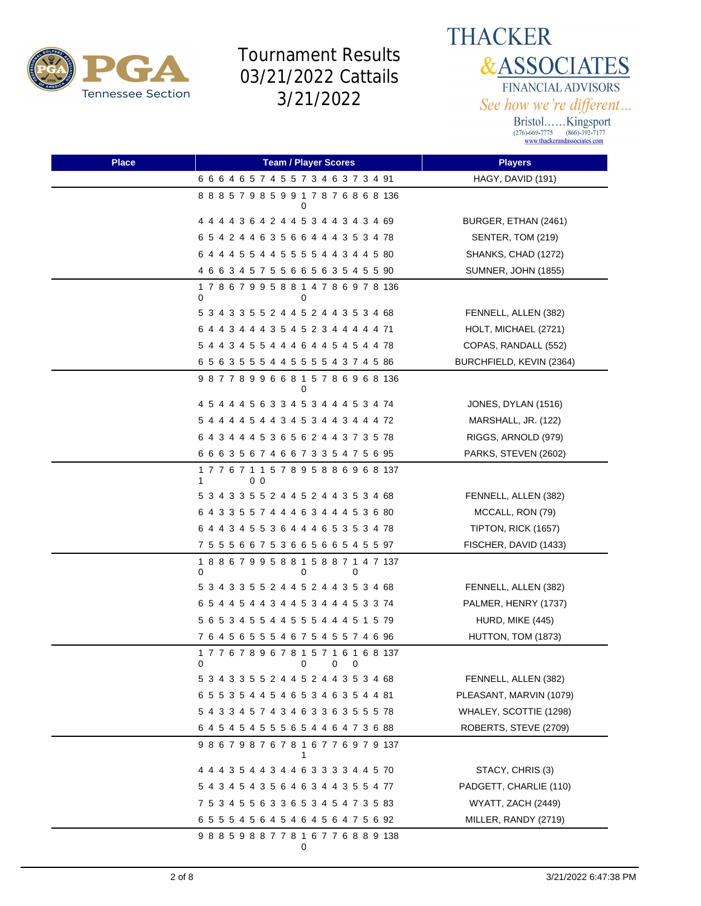

**THACKER &ASSOCIATES** FINANCIAL ADVISORS See how we're different...

| Place | <b>Team / Player Scores</b>                               | <b>Players</b>             |
|-------|-----------------------------------------------------------|----------------------------|
|       | 6 6 6 4 6 5 7 4 5 5 7 3 4 6 3 7 3 4 91                    | HAGY, DAVID (191)          |
|       | 888579859917876868136                                     |                            |
|       | 4 4 4 4 3 6 4 2 4 4 5 3 4 4 3 4 3 4 69                    | BURGER, ETHAN (2461)       |
|       | 6 5 4 2 4 4 6 3 5 6 6 4 4 4 3 5 3 4 78                    | SENTER, TOM (219)          |
|       | 6 4 4 4 5 5 4 4 5 5 5 5 4 4 3 4 4 5 80                    | SHANKS, CHAD (1272)        |
|       | 4 6 6 3 4 5 7 5 5 6 6 5 6 3 5 4 5 5 90                    | <b>SUMNER, JOHN (1855)</b> |
|       | 178679958814786978136<br>0<br>0                           |                            |
|       | 5 3 4 3 3 5 5 2 4 4 5 2 4 4 3 5 3 4 68                    | FENNELL, ALLEN (382)       |
|       | 6 4 4 3 4 4 4 3 5 4 5 2 3 4 4 4 4 4 71                    | HOLT, MICHAEL (2721)       |
|       | 5 4 4 3 4 5 5 4 4 4 6 4 4 5 4 5 4 4 78                    | COPAS, RANDALL (552)       |
|       | 6 5 6 3 5 5 5 4 4 5 5 5 5 4 3 7 4 5 86                    | BURCHFIELD, KEVIN (2364)   |
|       | 987789966815786968136<br>0                                |                            |
|       | 4 5 4 4 4 5 6 3 3 4 5 3 4 4 4 5 3 4 74                    | JONES, DYLAN (1516)        |
|       | 5 4 4 4 4 5 4 4 3 4 5 3 4 4 3 4 4 4 72                    | MARSHALL, JR. (122)        |
|       | 6 4 3 4 4 4 5 3 6 5 6 2 4 4 3 7 3 5 78                    | RIGGS, ARNOLD (979)        |
|       | 6 6 6 3 5 6 7 4 6 6 7 3 3 5 4 7 5 6 95                    | PARKS, STEVEN (2602)       |
|       | 177671157895886968137<br>00<br>1                          |                            |
|       | 5 3 4 3 3 5 5 2 4 4 5 2 4 4 3 5 3 4 68                    | FENNELL, ALLEN (382)       |
|       | 6 4 3 3 5 5 7 4 4 4 6 3 4 4 4 5 3 6 80                    | MCCALL, RON (79)           |
|       | 6 4 4 3 4 5 5 3 6 4 4 4 6 5 3 5 3 4 78                    | TIPTON, RICK (1657)        |
|       | 7 5 5 5 6 6 7 5 3 6 6 5 6 6 5 4 5 5 97                    | FISCHER, DAVID (1433)      |
|       | 188679958815887147137<br>0<br>0<br>O                      |                            |
|       | 5 3 4 3 3 5 5 2 4 4 5 2 4 4 3 5 3 4 68                    | FENNELL, ALLEN (382)       |
|       | 6 5 4 4 5 4 4 3 4 4 5 3 4 4 4 5 3 3 74                    | PALMER, HENRY (1737)       |
|       | 5 6 5 3 4 5 5 4 4 5 5 5 4 4 4 5 1 5 79                    | HURD, MIKE (445)           |
|       | 7 6 4 5 6 5 5 5 4 6 7 5 4 5 5 7 4 6 96                    | HUTTON, TOM (1873)         |
|       | 177678967815716168137<br>0<br>$0\qquad 0$<br>$\mathbf{0}$ |                            |
|       | 5 3 4 3 3 5 5 2 4 4 5 2 4 4 3 5 3 4 68                    | FENNELL, ALLEN (382)       |
|       | 6 5 5 3 5 4 4 5 4 6 5 3 4 6 3 5 4 4 81                    | PLEASANT, MARVIN (1079)    |
|       | 5 4 3 3 4 5 7 4 3 4 6 3 3 6 3 5 5 5 78                    | WHALEY, SCOTTIE (1298)     |
|       | 6 4 5 4 5 4 5 5 5 6 5 4 4 6 4 7 3 6 88                    | ROBERTS, STEVE (2709)      |
|       | 986798767816776979137<br>1                                |                            |
|       | 4 4 4 3 5 4 4 3 4 4 6 3 3 3 3 4 4 5 70                    | STACY, CHRIS (3)           |
|       | 5 4 3 4 5 4 3 5 6 4 6 3 4 4 3 5 5 4 77                    | PADGETT, CHARLIE (110)     |
|       | 7 5 3 4 5 5 6 3 3 6 5 3 4 5 4 7 3 5 83                    | WYATT, ZACH (2449)         |
|       | 6 5 5 5 4 5 6 4 5 4 6 4 5 6 4 7 5 6 92                    | MILLER, RANDY (2719)       |
|       | 988598877816776889138<br>0                                |                            |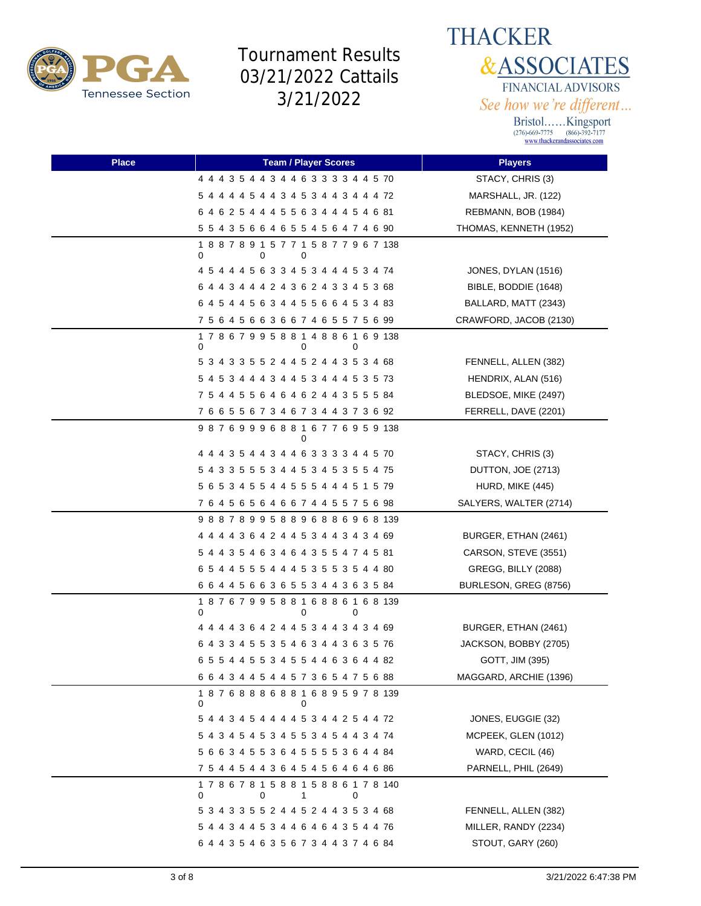



| <b>Place</b> | <b>Team / Player Scores</b>                            | <b>Players</b>         |
|--------------|--------------------------------------------------------|------------------------|
|              | 4 4 4 3 5 4 4 3 4 4 6 3 3 3 3 4 4 5 70                 | STACY, CHRIS (3)       |
|              | 5 4 4 4 4 5 4 4 3 4 5 3 4 4 3 4 4 4 72                 | MARSHALL, JR. (122)    |
|              | 6 4 6 2 5 4 4 4 5 5 6 3 4 4 4 5 4 6 81                 | REBMANN, BOB (1984)    |
|              | 5 5 4 3 5 6 6 4 6 5 5 4 5 6 4 7 4 6 90                 | THOMAS, KENNETH (1952) |
|              | 1 8 8 7 8 9 1 5 7 7 1 5 8 7 7 9 6 7 138<br>0<br>0<br>0 |                        |
|              | 4 5 4 4 4 5 6 3 3 4 5 3 4 4 4 5 3 4 74                 | JONES, DYLAN (1516)    |
|              | 6 4 4 3 4 4 4 2 4 3 6 2 4 3 3 4 5 3 68                 | BIBLE, BODDIE (1648)   |
|              | 6 4 5 4 4 5 6 3 4 4 5 5 6 6 4 5 3 4 83                 | BALLARD, MATT (2343)   |
|              | 7 5 6 4 5 6 6 3 6 6 7 4 6 5 5 7 5 6 99                 | CRAWFORD, JACOB (2130) |
|              | 178679958814886169138<br>0<br>0<br>0                   |                        |
|              | 5 3 4 3 3 5 5 2 4 4 5 2 4 4 3 5 3 4 68                 | FENNELL, ALLEN (382)   |
|              | 5 4 5 3 4 4 4 3 4 4 5 3 4 4 4 5 3 5 73                 | HENDRIX, ALAN (516)    |
|              | 7 5 4 4 5 5 6 4 6 4 6 2 4 4 3 5 5 5 84                 | BLEDSOE, MIKE (2497)   |
|              | 7 6 6 5 5 6 7 3 4 6 7 3 4 4 3 7 3 6 92                 | FERRELL, DAVE (2201)   |
|              | 987699968816776959138                                  |                        |
|              | 4 4 4 3 5 4 4 3 4 4 6 3 3 3 3 4 4 5 70                 | STACY, CHRIS (3)       |
|              | 5 4 3 3 5 5 5 3 4 4 5 3 4 5 3 5 5 4 75                 | DUTTON, JOE (2713)     |
|              | 5 6 5 3 4 5 5 4 4 5 5 5 4 4 4 5 1 5 79                 | HURD, MIKE (445)       |
|              | 76456564667445575698                                   | SALYERS, WALTER (2714) |
|              | 988789958896886968139                                  |                        |
|              | 4 4 4 4 3 6 4 2 4 4 5 3 4 4 3 4 3 4 69                 | BURGER, ETHAN (2461)   |
|              | 5 4 4 3 5 4 6 3 4 6 4 3 5 5 4 7 4 5 81                 | CARSON, STEVE (3551)   |
|              | 6 5 4 4 5 5 5 4 4 4 5 3 5 5 3 5 4 4 80                 | GREGG, BILLY (2088)    |
|              | 6 6 4 4 5 6 6 3 6 5 5 3 4 4 3 6 3 5 84                 | BURLESON, GREG (8756)  |
|              | 187679958816886168139<br>0<br>0<br>0                   |                        |
|              | 4 4 4 4 3 6 4 2 4 4 5 3 4 4 3 4 3 4 69                 | BURGER, ETHAN (2461)   |
|              | 6 4 3 3 4 5 5 3 5 4 6 3 4 4 3 6 3 5 76                 | JACKSON, BOBBY (2705)  |
|              | 6 5 5 4 4 5 5 3 4 5 5 4 4 6 3 6 4 4 82                 | GOTT, JIM (395)        |
|              | 6 6 4 3 4 4 5 4 4 5 7 3 6 5 4 7 5 6 88                 | MAGGARD, ARCHIE (1396) |
|              | 1 8 7 6 8 8 8 6 8 8 1 6 8 9 5 9 7 8 139<br>0<br>0      |                        |
|              | 5 4 4 3 4 5 4 4 4 4 5 3 4 4 2 5 4 4 72                 | JONES, EUGGIE (32)     |
|              | 5 4 3 4 5 4 5 3 4 5 5 3 4 5 4 4 3 4 74                 | MCPEEK, GLEN (1012)    |
|              | 5 6 6 3 4 5 5 3 6 4 5 5 5 5 3 6 4 4 84                 | WARD, CECIL (46)       |
|              | 7 5 4 4 5 4 4 3 6 4 5 4 5 6 4 6 4 6 86                 | PARNELL, PHIL (2649)   |
|              | 178678158815886178140<br>0<br>0<br>1<br>0              |                        |
|              | 5 3 4 3 3 5 5 2 4 4 5 2 4 4 3 5 3 4 68                 | FENNELL, ALLEN (382)   |
|              | 5 4 4 3 4 4 5 3 4 4 6 4 6 4 3 5 4 4 76                 | MILLER, RANDY (2234)   |
|              | 6 4 4 3 5 4 6 3 5 6 7 3 4 4 3 7 4 6 84                 | STOUT, GARY (260)      |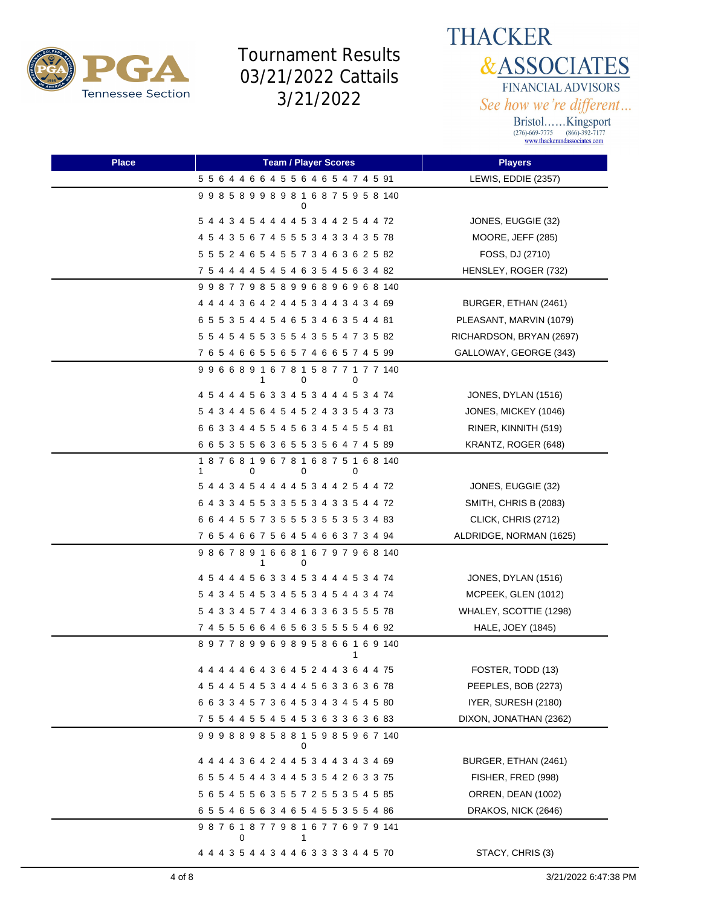



| <b>Place</b> | <b>Team / Player Scores</b>               | <b>Players</b>           |
|--------------|-------------------------------------------|--------------------------|
|              | 5 5 6 4 4 6 6 4 5 5 6 4 6 5 4 7 4 5 91    | LEWIS, EDDIE (2357)      |
|              | 998589989816875958140                     |                          |
|              | 5 4 4 3 4 5 4 4 4 4 5 3 4 4 2 5 4 4 72    | JONES, EUGGIE (32)       |
|              | 4 5 4 3 5 6 7 4 5 5 5 3 4 3 3 4 3 5 78    | MOORE, JEFF (285)        |
|              | 5 5 5 2 4 6 5 4 5 5 7 3 4 6 3 6 2 5 82    | FOSS, DJ (2710)          |
|              | 7 5 4 4 4 4 5 4 5 4 6 3 5 4 5 6 3 4 82    | HENSLEY, ROGER (732)     |
|              | 9 9 8 7 7 9 8 5 8 9 9 6 8 9 6 9 6 8 140   |                          |
|              | 4 4 4 4 3 6 4 2 4 4 5 3 4 4 3 4 3 4 69    | BURGER, ETHAN (2461)     |
|              | 6 5 5 3 5 4 4 5 4 6 5 3 4 6 3 5 4 4 81    | PLEASANT, MARVIN (1079)  |
|              | 5 5 4 5 4 5 5 3 5 5 4 3 5 5 4 7 3 5 82    | RICHARDSON, BRYAN (2697) |
|              | 76546655657466574599                      | GALLOWAY, GEORGE (343)   |
|              | 996689167815877177140<br>0<br>0<br>1      |                          |
|              | 4 5 4 4 4 5 6 3 3 4 5 3 4 4 4 5 3 4 74    | JONES, DYLAN (1516)      |
|              | 5 4 3 4 4 5 6 4 5 4 5 2 4 3 3 5 4 3 73    | JONES, MICKEY (1046)     |
|              | 6 6 3 3 4 4 5 5 4 5 6 3 4 5 4 5 5 4 81    | RINER, KINNITH (519)     |
|              | 6 6 5 3 5 5 6 3 6 5 5 3 5 6 4 7 4 5 89    | KRANTZ, ROGER (648)      |
|              | 187681967816875168140<br>0<br>0<br>1<br>0 |                          |
|              | 5 4 4 3 4 5 4 4 4 4 5 3 4 4 2 5 4 4 72    | JONES, EUGGIE (32)       |
|              | 6 4 3 3 4 5 5 3 3 5 5 3 4 3 3 5 4 4 72    | SMITH, CHRIS B (2083)    |
|              | 6 6 4 4 5 5 7 3 5 5 5 3 5 5 3 5 3 4 83    | CLICK, CHRIS (2712)      |
|              | 7 6 5 4 6 6 7 5 6 4 5 4 6 6 3 7 3 4 94    | ALDRIDGE, NORMAN (1625)  |
|              | 986789166816797968140<br>0<br>1           |                          |
|              | 4 5 4 4 4 5 6 3 3 4 5 3 4 4 4 5 3 4 74    | JONES, DYLAN (1516)      |
|              | 5 4 3 4 5 4 5 3 4 5 5 3 4 5 4 4 3 4 74    | MCPEEK, GLEN (1012)      |
|              | 5 4 3 3 4 5 7 4 3 4 6 3 3 6 3 5 5 5 78    | WHALEY, SCOTTIE (1298)   |
|              | 7 4 5 5 5 6 6 4 6 5 6 3 5 5 5 5 4 6 92    | HALE, JOEY (1845)        |
|              | 897789969895866169140                     |                          |
|              | 4 4 4 4 4 6 4 3 6 4 5 2 4 4 3 6 4 4 75    | FOSTER, TODD (13)        |
|              | 4 5 4 4 5 4 5 3 4 4 4 5 6 3 3 6 3 6 78    | PEEPLES, BOB (2273)      |
|              | 6 6 3 3 4 5 7 3 6 4 5 3 4 3 4 5 4 5 80    | IYER, SURESH (2180)      |
|              | 7 5 5 4 4 5 5 4 5 4 5 3 6 3 3 6 3 6 83    | DIXON, JONATHAN (2362)   |
|              | 999889858815985967140                     |                          |
|              | 4 4 4 4 3 6 4 2 4 4 5 3 4 4 3 4 3 4 69    | BURGER, ETHAN (2461)     |
|              | 6 5 5 4 5 4 4 3 4 4 5 3 5 4 2 6 3 3 75    | FISHER, FRED (998)       |
|              | 5 6 5 4 5 5 6 3 5 5 7 2 5 5 3 5 4 5 85    | ORREN, DEAN (1002)       |
|              | 6 5 5 4 6 5 6 3 4 6 5 4 5 5 3 5 5 4 86    | DRAKOS, NICK (2646)      |
|              | 987618779816776979141<br>0<br>1           |                          |
|              | 4 4 4 3 5 4 4 3 4 4 6 3 3 3 3 4 4 5 70    | STACY, CHRIS (3)         |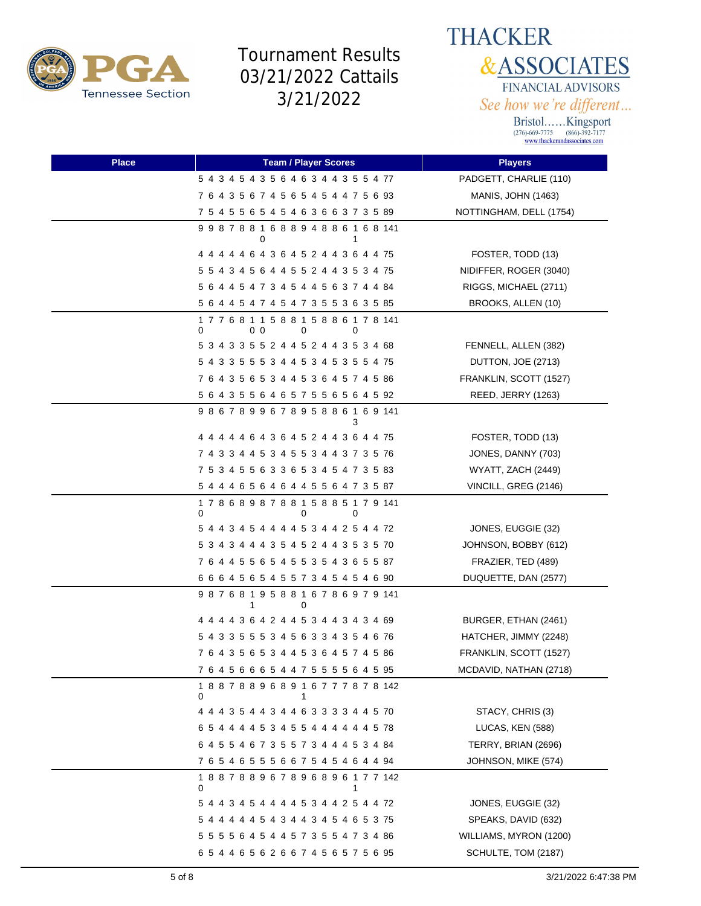

**THACKER &ASSOCIATES** FINANCIAL ADVISORS See how we're different...

| <b>Place</b> | <b>Team / Player Scores</b>                                  | <b>Players</b>            |
|--------------|--------------------------------------------------------------|---------------------------|
|              | 5 4 3 4 5 4 3 5 6 4 6 3 4 4 3 5 5 4 77                       | PADGETT, CHARLIE (110)    |
|              | 7 6 4 3 5 6 7 4 5 6 5 4 5 4 4 7 5 6 93                       | <b>MANIS, JOHN (1463)</b> |
|              | 7 5 4 5 5 6 5 4 5 4 6 3 6 6 3 7 3 5 89                       | NOTTINGHAM, DELL (1754)   |
|              | 998788168894886168141<br>0<br>1                              |                           |
|              | 4 4 4 4 4 6 4 3 6 4 5 2 4 4 3 6 4 4 75                       | FOSTER, TODD (13)         |
|              | 5 5 4 3 4 5 6 4 4 5 5 2 4 4 3 5 3 4 75                       | NIDIFFER, ROGER (3040)    |
|              | 5 6 4 4 5 4 7 3 4 5 4 4 5 6 3 7 4 4 84                       | RIGGS, MICHAEL (2711)     |
|              | 5 6 4 4 5 4 7 4 5 4 7 3 5 5 3 6 3 5 85                       | BROOKS, ALLEN (10)        |
|              | 1 7 7 6 8 1 1 5 8 8 1 5 8 8 6 1 7 8 141<br>0<br>00<br>0<br>0 |                           |
|              | 5 3 4 3 3 5 5 2 4 4 5 2 4 4 3 5 3 4 68                       | FENNELL, ALLEN (382)      |
|              | 5 4 3 3 5 5 5 3 4 4 5 3 4 5 3 5 5 4 75                       | DUTTON, JOE (2713)        |
|              | 7 6 4 3 5 6 5 3 4 4 5 3 6 4 5 7 4 5 86                       | FRANKLIN, SCOTT (1527)    |
|              | 5 6 4 3 5 5 6 4 6 5 7 5 5 6 5 6 4 5 92                       | REED, JERRY (1263)        |
|              | 986789967895886169141<br>з                                   |                           |
|              | 4 4 4 4 4 6 4 3 6 4 5 2 4 4 3 6 4 4 75                       | FOSTER, TODD (13)         |
|              | 7 4 3 3 4 4 5 3 4 5 5 3 4 4 3 7 3 5 76                       | JONES, DANNY (703)        |
|              | 7 5 3 4 5 5 6 3 3 6 5 3 4 5 4 7 3 5 83                       | WYATT, ZACH (2449)        |
|              | 5 4 4 4 6 5 6 4 6 4 4 5 5 6 4 7 3 5 87                       | VINCILL, GREG (2146)      |
|              | 178689878815885179141<br>0<br>0<br>0                         |                           |
|              | 5 4 4 3 4 5 4 4 4 4 5 3 4 4 2 5 4 4 72                       | JONES, EUGGIE (32)        |
|              | 5 3 4 3 4 4 4 3 5 4 5 2 4 4 3 5 3 5 70                       | JOHNSON, BOBBY (612)      |
|              | 7 6 4 4 5 5 6 5 4 5 5 3 5 4 3 6 5 5 87                       | FRAZIER, TED (489)        |
|              | 6 6 6 4 5 6 5 4 5 5 7 3 4 5 4 5 4 6 90                       | DUQUETTE, DAN (2577)      |
|              | 987681958816786979141<br>0<br>1                              |                           |
|              | 4 4 4 4 3 6 4 2 4 4 5 3 4 4 3 4 3 4 69                       | BURGER, ETHAN (2461)      |
|              | 5 4 3 3 5 5 5 3 4 5 6 3 3 4 3 5 4 6 76                       | HATCHER, JIMMY (2248)     |
|              | 7 6 4 3 5 6 5 3 4 4 5 3 6 4 5 7 4 5 86                       | FRANKLIN, SCOTT (1527)    |
|              | 7 6 4 5 6 6 6 5 4 4 7 5 5 5 5 6 4 5 95                       | MCDAVID, NATHAN (2718)    |
|              | 188788968916777878142<br>0                                   |                           |
|              | 4 4 4 3 5 4 4 3 4 4 6 3 3 3 3 4 4 5 70                       | STACY, CHRIS (3)          |
|              | 6 5 4 4 4 4 5 3 4 5 5 4 4 4 4 4 4 5 78                       | LUCAS, KEN (588)          |
|              | 6 4 5 5 4 6 7 3 5 5 7 3 4 4 4 5 3 4 84                       | TERRY, BRIAN (2696)       |
|              | 7 6 5 4 6 5 5 5 6 6 7 5 4 5 4 6 4 4 94                       | JOHNSON, MIKE (574)       |
|              | 188788967896896177142<br>0                                   |                           |
|              | 5 4 4 3 4 5 4 4 4 4 5 3 4 4 2 5 4 4 72                       | JONES, EUGGIE (32)        |
|              | 5 4 4 4 4 4 5 4 3 4 4 3 4 5 4 6 5 3 75                       | SPEAKS, DAVID (632)       |
|              | 5 5 5 5 6 4 5 4 4 5 7 3 5 5 4 7 3 4 86                       | WILLIAMS, MYRON (1200)    |
|              | 65446562667456575695                                         | SCHULTE, TOM (2187)       |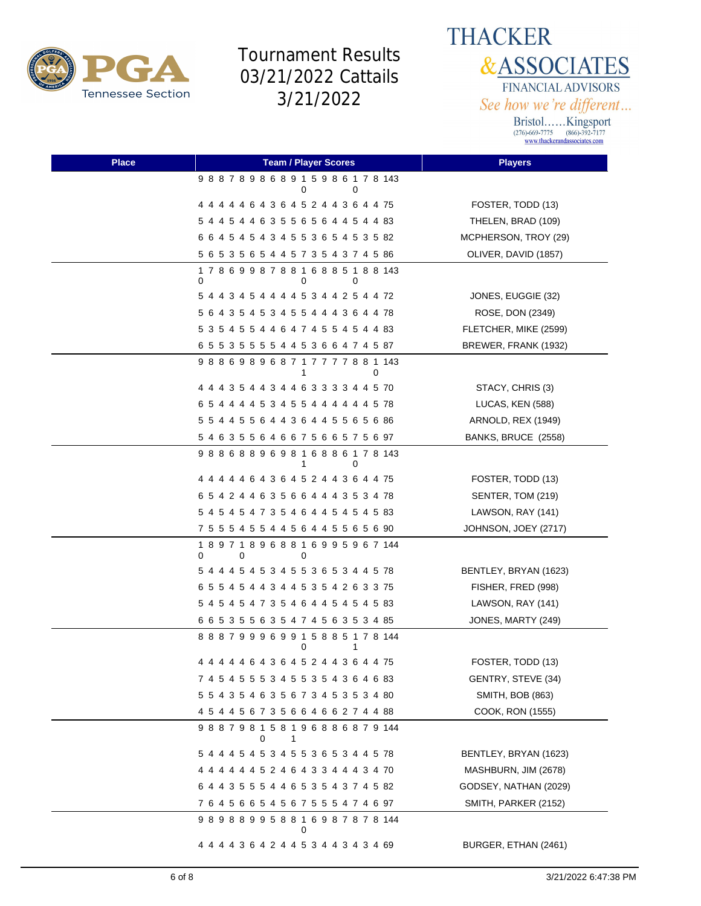

**THACKER &ASSOCIATES** FINANCIAL ADVISORS See how we're different...

| <b>Place</b> | <b>Team / Player Scores</b>            | <b>Players</b>        |
|--------------|----------------------------------------|-----------------------|
|              | 988789868915986178143<br>0<br>0        |                       |
|              | 4 4 4 4 4 6 4 3 6 4 5 2 4 4 3 6 4 4 75 | FOSTER, TODD (13)     |
|              | 5 4 4 5 4 4 6 3 5 5 6 5 6 4 4 5 4 4 83 | THELEN, BRAD (109)    |
|              | 6 6 4 5 4 5 4 3 4 5 5 3 6 5 4 5 3 5 82 | MCPHERSON, TROY (29)  |
|              | 5 6 5 3 5 6 5 4 4 5 7 3 5 4 3 7 4 5 86 | OLIVER, DAVID (1857)  |
|              | 178699878816885188143<br>0<br>0<br>0   |                       |
|              | 5 4 4 3 4 5 4 4 4 4 5 3 4 4 2 5 4 4 72 | JONES, EUGGIE (32)    |
|              | 5 6 4 3 5 4 5 3 4 5 5 4 4 4 3 6 4 4 78 | ROSE, DON (2349)      |
|              | 5 3 5 4 5 5 4 4 6 4 7 4 5 5 4 5 4 4 83 | FLETCHER, MIKE (2599) |
|              | 6 5 5 3 5 5 5 5 4 4 5 3 6 6 4 7 4 5 87 | BREWER, FRANK (1932)  |
|              | 988698968717777881143<br>0<br>1        |                       |
|              | 4 4 4 3 5 4 4 3 4 4 6 3 3 3 3 4 4 5 70 | STACY, CHRIS (3)      |
|              | 6 5 4 4 4 4 5 3 4 5 5 4 4 4 4 4 4 5 78 | LUCAS, KEN (588)      |
|              | 5 5 4 4 5 5 6 4 4 3 6 4 4 5 5 6 5 6 86 | ARNOLD, REX (1949)    |
|              | 54635564667566575697                   | BANKS, BRUCE (2558)   |
|              | 988688969816886178143<br>0             |                       |
|              | 4 4 4 4 4 6 4 3 6 4 5 2 4 4 3 6 4 4 75 | FOSTER, TODD (13)     |
|              | 6 5 4 2 4 4 6 3 5 6 6 4 4 4 3 5 3 4 78 | SENTER, TOM (219)     |
|              | 5 4 5 4 5 4 7 3 5 4 6 4 4 5 4 5 4 5 83 | LAWSON, RAY (141)     |
|              | 7 5 5 5 4 5 5 4 4 5 6 4 4 5 5 6 5 6 90 | JOHNSON, JOEY (2717)  |
|              | 189718968816995967144<br>0<br>0<br>0   |                       |
|              | 5 4 4 4 5 4 5 3 4 5 5 3 6 5 3 4 4 5 78 | BENTLEY, BRYAN (1623) |
|              | 6 5 5 4 5 4 4 3 4 4 5 3 5 4 2 6 3 3 75 | FISHER, FRED (998)    |
|              | 5 4 5 4 5 4 7 3 5 4 6 4 4 5 4 5 4 5 83 | LAWSON, RAY (141)     |
|              | 6 6 5 3 5 5 6 3 5 4 7 4 5 6 3 5 3 4 85 | JONES, MARTY (249)    |
|              | 888799969915885178144<br>0<br>1        |                       |
|              | 4 4 4 4 4 6 4 3 6 4 5 2 4 4 3 6 4 4 75 | FOSTER, TODD (13)     |
|              | 7 4 5 4 5 5 5 3 4 5 5 3 5 4 3 6 4 6 83 | GENTRY, STEVE (34)    |
|              | 5 5 4 3 5 4 6 3 5 6 7 3 4 5 3 5 3 4 80 | SMITH, BOB (863)      |
|              | 4 5 4 4 5 6 7 3 5 6 6 4 6 6 2 7 4 4 88 | COOK, RON (1555)      |
|              | 988798158196886879144<br>0<br>1        |                       |
|              | 5 4 4 4 5 4 5 3 4 5 5 3 6 5 3 4 4 5 78 | BENTLEY, BRYAN (1623) |
|              | 4 4 4 4 4 4 5 2 4 6 4 3 3 4 4 4 3 4 70 | MASHBURN, JIM (2678)  |
|              | 6 4 4 3 5 5 5 4 4 6 5 3 5 4 3 7 4 5 82 | GODSEY, NATHAN (2029) |
|              | 76456654567555474697                   | SMITH, PARKER (2152)  |
|              | 989889958816987878144<br>0             |                       |
|              | 4 4 4 4 3 6 4 2 4 4 5 3 4 4 3 4 3 4 69 | BURGER, ETHAN (2461)  |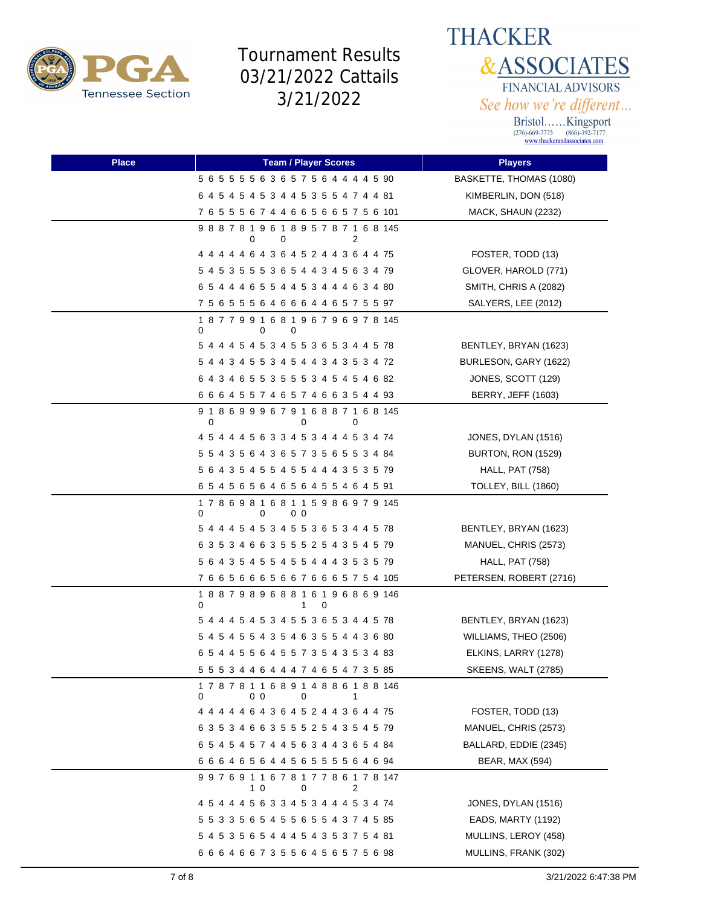



| <b>Place</b> | <b>Team / Player Scores</b>                                  | <b>Players</b>            |
|--------------|--------------------------------------------------------------|---------------------------|
|              | 5 6 5 5 5 5 6 3 6 5 7 5 6 4 4 4 4 5 90                       | BASKETTE, THOMAS (1080)   |
|              | 6 4 5 4 5 4 5 3 4 4 5 3 5 5 4 7 4 4 81                       | KIMBERLIN, DON (518)      |
|              | 7 6 5 5 5 6 7 4 4 6 6 5 6 6 5 7 5 6 101                      | MACK, SHAUN (2232)        |
|              | 9 8 8 7 8 1 9 6 1 8 9 5 7 8 7 1 6 8 145<br>0<br>2<br>0       |                           |
|              | 4 4 4 4 4 6 4 3 6 4 5 2 4 4 3 6 4 4 75                       | FOSTER, TODD (13)         |
|              | 5 4 5 3 5 5 5 3 6 5 4 4 3 4 5 6 3 4 79                       | GLOVER, HAROLD (771)      |
|              | 6 5 4 4 4 6 5 5 4 4 5 3 4 4 4 6 3 4 80                       | SMITH, CHRIS A (2082)     |
|              | 7 5 6 5 5 5 6 4 6 6 6 4 4 6 5 7 5 5 97                       | SALYERS, LEE (2012)       |
|              | 187799168196796978145<br>0<br>0<br>0                         |                           |
|              | 5 4 4 4 5 4 5 3 4 5 5 3 6 5 3 4 4 5 78                       | BENTLEY, BRYAN (1623)     |
|              | 5 4 4 3 4 5 5 3 4 5 4 4 3 4 3 5 3 4 72                       | BURLESON, GARY (1622)     |
|              | 6 4 3 4 6 5 5 3 5 5 5 3 4 5 4 5 4 6 82                       | JONES, SCOTT (129)        |
|              | 6 6 6 4 5 5 7 4 6 5 7 4 6 6 3 5 4 4 93                       | <b>BERRY, JEFF (1603)</b> |
|              | 9 1 8 6 9 9 9 6 7 9 1 6 8 8 7 1 6 8 145<br>0<br>0<br>0       |                           |
|              | 4 5 4 4 4 5 6 3 3 4 5 3 4 4 4 5 3 4 74                       | JONES, DYLAN (1516)       |
|              | 5 5 4 3 5 6 4 3 6 5 7 3 5 6 5 5 3 4 84                       | BURTON, RON (1529)        |
|              | 5 6 4 3 5 4 5 5 4 5 5 4 4 4 3 5 3 5 79                       | <b>HALL, PAT (758)</b>    |
|              | 6 5 4 5 6 5 6 4 6 5 6 4 5 5 4 6 4 5 91                       | TOLLEY, BILL (1860)       |
|              | 1 7 8 6 9 8 1 6 8 1 1 5 9 8 6 9 7 9 145<br>0<br>0<br>00      |                           |
|              | 5 4 4 4 5 4 5 3 4 5 5 3 6 5 3 4 4 5 78                       | BENTLEY, BRYAN (1623)     |
|              | 6 3 5 3 4 6 6 3 5 5 5 2 5 4 3 5 4 5 79                       | MANUEL, CHRIS (2573)      |
|              | 5 6 4 3 5 4 5 5 4 5 5 4 4 4 3 5 3 5 79                       | <b>HALL, PAT (758)</b>    |
|              | 766566656676665754105                                        | PETERSEN, ROBERT (2716)   |
|              | 188798968816196869146<br>0<br>1<br>0                         |                           |
|              | 5 4 4 4 5 4 5 3 4 5 5 3 6 5 3 4 4 5 78                       | BENTLEY, BRYAN (1623)     |
|              | 5 4 5 4 5 5 4 3 5 4 6 3 5 5 4 4 3 6 80                       | WILLIAMS, THEO (2506)     |
|              | 6 5 4 4 5 5 6 4 5 5 7 3 5 4 3 5 3 4 83                       | ELKINS, LARRY (1278)      |
|              | 5 5 5 3 4 4 6 4 4 4 7 4 6 5 4 7 3 5 85                       | SKEENS, WALT (2785)       |
|              | 1 7 8 7 8 1 1 6 8 9 1 4 8 8 6 1 8 8 146<br>00<br>0<br>0<br>1 |                           |
|              | 4 4 4 4 4 6 4 3 6 4 5 2 4 4 3 6 4 4 75                       | FOSTER, TODD (13)         |
|              | 6 3 5 3 4 6 6 3 5 5 5 2 5 4 3 5 4 5 79                       | MANUEL, CHRIS (2573)      |
|              | 6 5 4 5 4 5 7 4 4 5 6 3 4 4 3 6 5 4 84                       | BALLARD, EDDIE (2345)     |
|              | 6 6 6 4 6 5 6 4 4 5 6 5 5 5 5 6 4 6 94                       | BEAR, MAX (594)           |
|              | 997691167817786178147<br>10<br>0<br>2                        |                           |
|              | 4 5 4 4 4 5 6 3 3 4 5 3 4 4 4 5 3 4 74                       | JONES, DYLAN (1516)       |
|              | 5 5 3 3 5 6 5 4 5 5 6 5 5 4 3 7 4 5 85                       | EADS, MARTY (1192)        |
|              | 5 4 5 3 5 6 5 4 4 4 5 4 3 5 3 7 5 4 81                       | MULLINS, LEROY (458)      |
|              | 6 6 6 4 6 6 7 3 5 5 6 4 5 6 5 7 5 6 98                       | MULLINS, FRANK (302)      |